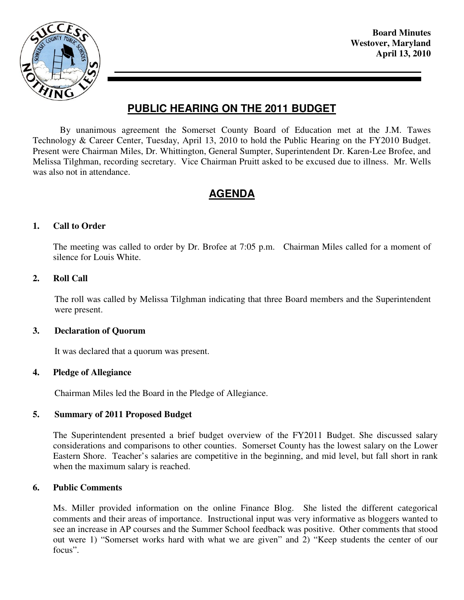

**Board Minutes Westover, Maryland April 13, 2010** 

# **PUBLIC HEARING ON THE 2011 BUDGET**

By unanimous agreement the Somerset County Board of Education met at the J.M. Tawes Technology & Career Center, Tuesday, April 13, 2010 to hold the Public Hearing on the FY2010 Budget. Present were Chairman Miles, Dr. Whittington, General Sumpter, Superintendent Dr. Karen-Lee Brofee, and Melissa Tilghman, recording secretary. Vice Chairman Pruitt asked to be excused due to illness. Mr. Wells was also not in attendance.

## **AGENDA**

## **1. Call to Order**

The meeting was called to order by Dr. Brofee at 7:05 p.m. Chairman Miles called for a moment of silence for Louis White.

#### **2. Roll Call**

The roll was called by Melissa Tilghman indicating that three Board members and the Superintendent were present.

#### **3. Declaration of Quorum**

It was declared that a quorum was present.

#### **4. Pledge of Allegiance**

Chairman Miles led the Board in the Pledge of Allegiance.

### **5. Summary of 2011 Proposed Budget**

The Superintendent presented a brief budget overview of the FY2011 Budget. She discussed salary considerations and comparisons to other counties. Somerset County has the lowest salary on the Lower Eastern Shore. Teacher's salaries are competitive in the beginning, and mid level, but fall short in rank when the maximum salary is reached.

#### **6. Public Comments**

Ms. Miller provided information on the online Finance Blog. She listed the different categorical comments and their areas of importance. Instructional input was very informative as bloggers wanted to see an increase in AP courses and the Summer School feedback was positive. Other comments that stood out were 1) "Somerset works hard with what we are given" and 2) "Keep students the center of our focus".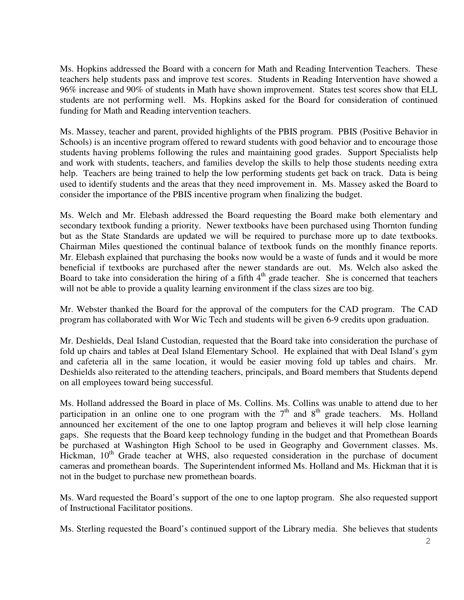Ms. Hopkins addressed the Board with a concern for Math and Reading Intervention Teachers. These teachers help students pass and improve test scores. Students in Reading Intervention have showed a 96% increase and 90% of students in Math have shown improvement. States test scores show that ELL students are not performing well. Ms. Hopkins asked for the Board for consideration of continued funding for Math and Reading intervention teachers.

 Ms. Massey, teacher and parent, provided highlights of the PBIS program. PBIS (Positive Behavior in Schools) is an incentive program offered to reward students with good behavior and to encourage those students having problems following the rules and maintaining good grades. Support Specialists help and work with students, teachers, and families develop the skills to help those students needing extra help. Teachers are being trained to help the low performing students get back on track. Data is being used to identify students and the areas that they need improvement in. Ms. Massey asked the Board to consider the importance of the PBIS incentive program when finalizing the budget.

 Ms. Welch and Mr. Elebash addressed the Board requesting the Board make both elementary and secondary textbook funding a priority. Newer textbooks have been purchased using Thornton funding but as the State Standards are updated we will be required to purchase more up to date textbooks. Chairman Miles questioned the continual balance of textbook funds on the monthly finance reports. Mr. Elebash explained that purchasing the books now would be a waste of funds and it would be more beneficial if textbooks are purchased after the newer standards are out. Ms. Welch also asked the Board to take into consideration the hiring of a fifth  $4<sup>th</sup>$  grade teacher. She is concerned that teachers will not be able to provide a quality learning environment if the class sizes are too big.

 Mr. Webster thanked the Board for the approval of the computers for the CAD program. The CAD program has collaborated with Wor Wic Tech and students will be given 6-9 credits upon graduation.

 Mr. Deshields, Deal Island Custodian, requested that the Board take into consideration the purchase of fold up chairs and tables at Deal Island Elementary School. He explained that with Deal Island's gym and cafeteria all in the same location, it would be easier moving fold up tables and chairs. Mr. Deshields also reiterated to the attending teachers, principals, and Board members that Students depend on all employees toward being successful.

 Ms. Holland addressed the Board in place of Ms. Collins. Ms. Collins was unable to attend due to her participation in an online one to one program with the  $7<sup>th</sup>$  and  $8<sup>th</sup>$  grade teachers. Ms. Holland announced her excitement of the one to one laptop program and believes it will help close learning gaps. She requests that the Board keep technology funding in the budget and that Promethean Boards be purchased at Washington High School to be used in Geography and Government classes. Ms. Hickman,  $10<sup>th</sup>$  Grade teacher at WHS, also requested consideration in the purchase of document cameras and promethean boards. The Superintendent informed Ms. Holland and Ms. Hickman that it is not in the budget to purchase new promethean boards.

 Ms. Ward requested the Board's support of the one to one laptop program. She also requested support of Instructional Facilitator positions.

Ms. Sterling requested the Board's continued support of the Library media. She believes that students